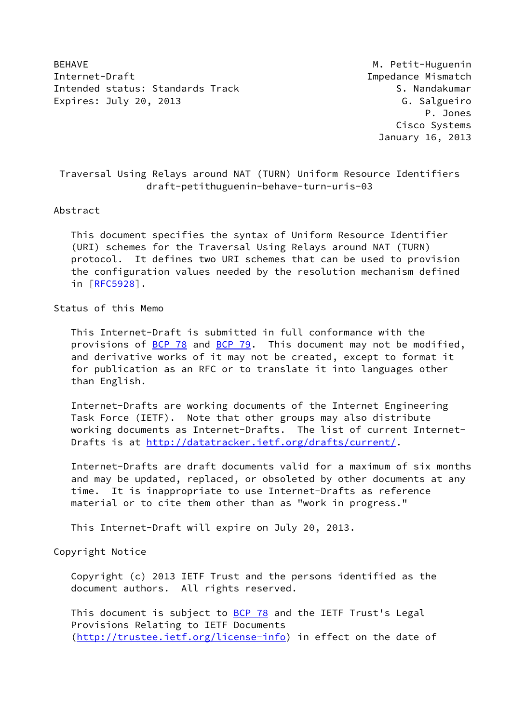BEHAVE **M. Petit-Huguenin** Internet-Draft Impedance Mismatch Intended status: Standards Track S. Nandakumar Expires: July 20, 2013 **G. Salgueiro** 

 P. Jones Cisco Systems January 16, 2013

 Traversal Using Relays around NAT (TURN) Uniform Resource Identifiers draft-petithuguenin-behave-turn-uris-03

#### Abstract

 This document specifies the syntax of Uniform Resource Identifier (URI) schemes for the Traversal Using Relays around NAT (TURN) protocol. It defines two URI schemes that can be used to provision the configuration values needed by the resolution mechanism defined in [[RFC5928\]](https://datatracker.ietf.org/doc/pdf/rfc5928).

### Status of this Memo

 This Internet-Draft is submitted in full conformance with the provisions of [BCP 78](https://datatracker.ietf.org/doc/pdf/bcp78) and [BCP 79](https://datatracker.ietf.org/doc/pdf/bcp79). This document may not be modified, and derivative works of it may not be created, except to format it for publication as an RFC or to translate it into languages other than English.

 Internet-Drafts are working documents of the Internet Engineering Task Force (IETF). Note that other groups may also distribute working documents as Internet-Drafts. The list of current Internet- Drafts is at<http://datatracker.ietf.org/drafts/current/>.

 Internet-Drafts are draft documents valid for a maximum of six months and may be updated, replaced, or obsoleted by other documents at any time. It is inappropriate to use Internet-Drafts as reference material or to cite them other than as "work in progress."

This Internet-Draft will expire on July 20, 2013.

Copyright Notice

 Copyright (c) 2013 IETF Trust and the persons identified as the document authors. All rights reserved.

This document is subject to **[BCP 78](https://datatracker.ietf.org/doc/pdf/bcp78)** and the IETF Trust's Legal Provisions Relating to IETF Documents [\(http://trustee.ietf.org/license-info](http://trustee.ietf.org/license-info)) in effect on the date of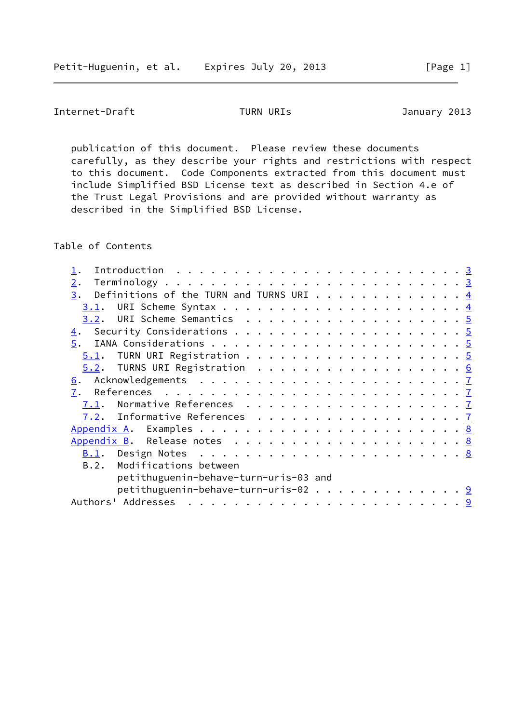Internet-Draft TURN URIs 7013

 publication of this document. Please review these documents carefully, as they describe your rights and restrictions with respect to this document. Code Components extracted from this document must include Simplified BSD License text as described in Section 4.e of the Trust Legal Provisions and are provided without warranty as described in the Simplified BSD License.

Table of Contents

| Introduction $\ldots \ldots \ldots \ldots \ldots \ldots \ldots \ldots \;$ |  |  |  |  |  |  |  |  |  |  |
|---------------------------------------------------------------------------|--|--|--|--|--|--|--|--|--|--|
| 2.                                                                        |  |  |  |  |  |  |  |  |  |  |
| Definitions of the TURN and TURNS URI $\frac{4}{5}$<br>3.                 |  |  |  |  |  |  |  |  |  |  |
| 3.1.                                                                      |  |  |  |  |  |  |  |  |  |  |
|                                                                           |  |  |  |  |  |  |  |  |  |  |
|                                                                           |  |  |  |  |  |  |  |  |  |  |
|                                                                           |  |  |  |  |  |  |  |  |  |  |
|                                                                           |  |  |  |  |  |  |  |  |  |  |
|                                                                           |  |  |  |  |  |  |  |  |  |  |
|                                                                           |  |  |  |  |  |  |  |  |  |  |
| 7.                                                                        |  |  |  |  |  |  |  |  |  |  |
| Normative References $\frac{7}{4}$<br>7.1.                                |  |  |  |  |  |  |  |  |  |  |
|                                                                           |  |  |  |  |  |  |  |  |  |  |
|                                                                           |  |  |  |  |  |  |  |  |  |  |
|                                                                           |  |  |  |  |  |  |  |  |  |  |
|                                                                           |  |  |  |  |  |  |  |  |  |  |
| B.2. Modifications between                                                |  |  |  |  |  |  |  |  |  |  |
| petithuguenin-behave-turn-uris-03 and                                     |  |  |  |  |  |  |  |  |  |  |
| petithuguenin-behave-turn-uris-02 9                                       |  |  |  |  |  |  |  |  |  |  |
|                                                                           |  |  |  |  |  |  |  |  |  |  |
|                                                                           |  |  |  |  |  |  |  |  |  |  |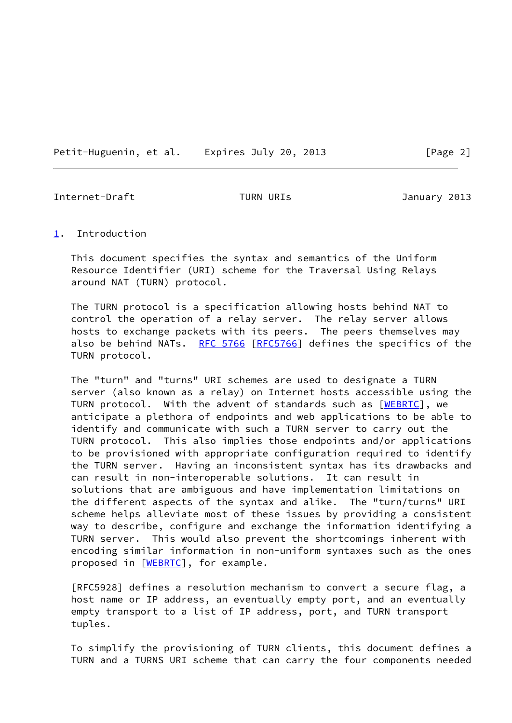Petit-Huguenin, et al. Expires July 20, 2013 [Page 2]

<span id="page-2-1"></span>Internet-Draft TURN URIs January 2013

#### <span id="page-2-0"></span>[1](#page-2-0). Introduction

 This document specifies the syntax and semantics of the Uniform Resource Identifier (URI) scheme for the Traversal Using Relays around NAT (TURN) protocol.

 The TURN protocol is a specification allowing hosts behind NAT to control the operation of a relay server. The relay server allows hosts to exchange packets with its peers. The peers themselves may also be behind NATs. [RFC 5766](https://datatracker.ietf.org/doc/pdf/rfc5766) [\[RFC5766](https://datatracker.ietf.org/doc/pdf/rfc5766)] defines the specifics of the TURN protocol.

 The "turn" and "turns" URI schemes are used to designate a TURN server (also known as a relay) on Internet hosts accessible using the TURN protocol. With the advent of standards such as [\[WEBRTC](#page-7-4)], we anticipate a plethora of endpoints and web applications to be able to identify and communicate with such a TURN server to carry out the TURN protocol. This also implies those endpoints and/or applications to be provisioned with appropriate configuration required to identify the TURN server. Having an inconsistent syntax has its drawbacks and can result in non-interoperable solutions. It can result in solutions that are ambiguous and have implementation limitations on the different aspects of the syntax and alike. The "turn/turns" URI scheme helps alleviate most of these issues by providing a consistent way to describe, configure and exchange the information identifying a TURN server. This would also prevent the shortcomings inherent with encoding similar information in non-uniform syntaxes such as the ones proposed in [\[WEBRTC](#page-7-4)], for example.

 [RFC5928] defines a resolution mechanism to convert a secure flag, a host name or IP address, an eventually empty port, and an eventually empty transport to a list of IP address, port, and TURN transport tuples.

 To simplify the provisioning of TURN clients, this document defines a TURN and a TURNS URI scheme that can carry the four components needed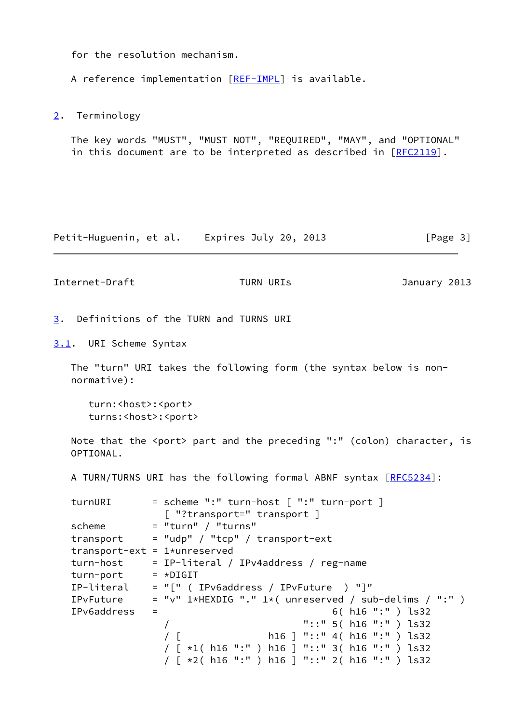for the resolution mechanism.

A reference implementation [[REF-IMPL\]](#page-8-3) is available.

<span id="page-3-0"></span>[2](#page-3-0). Terminology

 The key words "MUST", "MUST NOT", "REQUIRED", "MAY", and "OPTIONAL" in this document are to be interpreted as described in [\[RFC2119](https://datatracker.ietf.org/doc/pdf/rfc2119)].

Petit-Huguenin, et al. Expires July 20, 2013 [Page 3]

<span id="page-3-2"></span>Internet-Draft TURN URIs 7013

<span id="page-3-1"></span>[3](#page-3-1). Definitions of the TURN and TURNS URI

<span id="page-3-3"></span>[3.1](#page-3-3). URI Scheme Syntax

 The "turn" URI takes the following form (the syntax below is non normative):

 turn:<host>:<port> turns:<host>:<port>

Note that the <port> part and the preceding ":" (colon) character, is OPTIONAL.

A TURN/TURNS URI has the following formal ABNF syntax [[RFC5234](https://datatracker.ietf.org/doc/pdf/rfc5234)]:

| turnURI                         |     | $=$ scheme ":" turn-host $[$ ":" turn-port $]$           |
|---------------------------------|-----|----------------------------------------------------------|
|                                 |     | [ "?transport=" transport ]                              |
| scheme                          |     | $=$ "turn" / "turns"                                     |
| transport                       |     | $=$ "udp" / "tcp" / transport-ext                        |
| transport-ext = $1*$ unreserved |     |                                                          |
| turn-host                       |     | = IP-literal / IPv4address / reg-name                    |
| turn-port                       |     | $= *DIGIT$                                               |
| IP-literal                      |     | $= "[" ( IPyGaddress / IPvFuture ) "]"$                  |
| IPvFuture                       |     | $=$ "v" 1*HEXDIG "." 1*( unreserved / sub-delims / ":" ) |
| IPv6address                     | $=$ | 6( $h16$ ":" ) $ls32$                                    |
|                                 |     | "::" $5( h16 ":" ) l532$                                 |
|                                 |     | h16 ] "::" 4( h16 ":" ) $\text{ls32}$                    |
|                                 |     | / [ *1( h16 ":" ) h16 ] "::" 3( h16 ":" ) ls32           |
|                                 |     | $\lceil$ *2( h16 ":" ) h16 ] "::" 2( h16 ":" ) ls32      |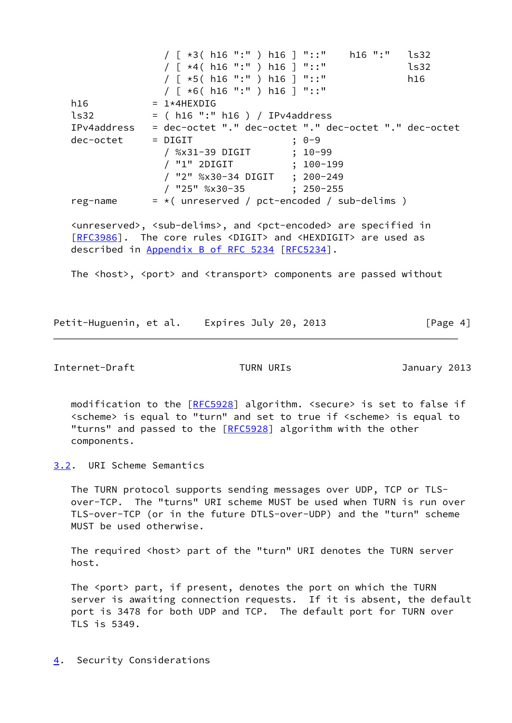/ [ \*3( h16 ":" ) h16 ] "::" h16 ":" ls32 / [ \*4( h16 ":" ) h16 ] "::" ls32 / [ \*5( h16 ":" ) h16 ] "::" h16 / [ \*6( h16 ":" ) h16 ] "::"  $h16$  =  $1*4HEXDIG$  ls32 = ( h16 ":" h16 ) / IPv4address IPv4address = dec-octet "." dec-octet "." dec-octet "." dec-octet dec-octet = DIGIT ; 0-9 / %x31-39 DIGIT ; 10-99 / "1" 2DIGIT ; 100-199 / "2" %x30-34 DIGIT ; 200-249 / "25" %x30-35 ; 250-255 reg-name  $= *$ ( unreserved / pct-encoded / sub-delims ) <unreserved>, <sub-delims>, and <pct-encoded> are specified in [\[RFC3986](https://datatracker.ietf.org/doc/pdf/rfc3986)]. The core rules <DIGIT> and <HEXDIGIT> are used as

described in Appendix [B of RFC 5234](https://datatracker.ietf.org/doc/pdf/rfc5234#appendix-B) [\[RFC5234](https://datatracker.ietf.org/doc/pdf/rfc5234)].

The <host>, <port> and <transport> components are passed without

Petit-Huguenin, et al. Expires July 20, 2013 [Page 4]

<span id="page-4-1"></span>Internet-Draft TURN URIs January 2013

modification to the [\[RFC5928](https://datatracker.ietf.org/doc/pdf/rfc5928)] algorithm. <secure> is set to false if <scheme> is equal to "turn" and set to true if <scheme> is equal to "turns" and passed to the [[RFC5928](https://datatracker.ietf.org/doc/pdf/rfc5928)] algorithm with the other components.

<span id="page-4-0"></span>[3.2](#page-4-0). URI Scheme Semantics

 The TURN protocol supports sending messages over UDP, TCP or TLS over-TCP. The "turns" URI scheme MUST be used when TURN is run over TLS-over-TCP (or in the future DTLS-over-UDP) and the "turn" scheme MUST be used otherwise.

 The required <host> part of the "turn" URI denotes the TURN server host.

The <port> part, if present, denotes the port on which the TURN server is awaiting connection requests. If it is absent, the default port is 3478 for both UDP and TCP. The default port for TURN over TLS is 5349.

<span id="page-4-2"></span>[4](#page-4-2). Security Considerations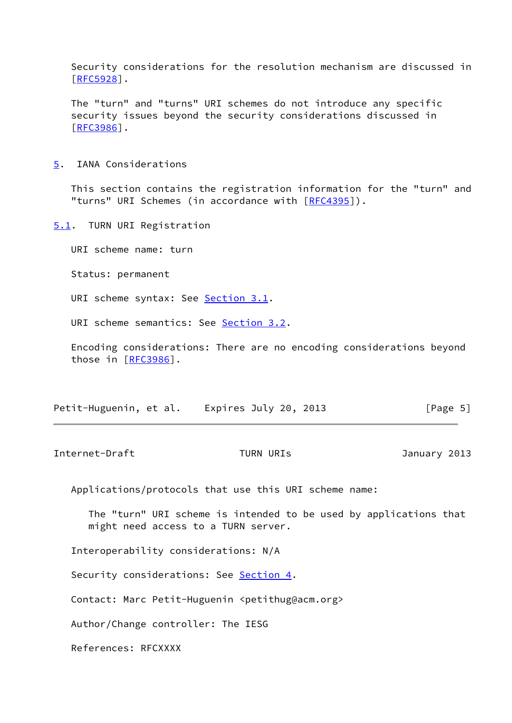Security considerations for the resolution mechanism are discussed in [\[RFC5928](https://datatracker.ietf.org/doc/pdf/rfc5928)].

 The "turn" and "turns" URI schemes do not introduce any specific security issues beyond the security considerations discussed in [\[RFC3986](https://datatracker.ietf.org/doc/pdf/rfc3986)].

<span id="page-5-0"></span>[5](#page-5-0). IANA Considerations

 This section contains the registration information for the "turn" and "turns" URI Schemes (in accordance with [\[RFC4395](https://datatracker.ietf.org/doc/pdf/rfc4395)]).

<span id="page-5-1"></span>[5.1](#page-5-1). TURN URI Registration

URI scheme name: turn

Status: permanent

URI scheme syntax: See [Section 3.1](#page-3-3).

URI scheme semantics: See [Section 3.2](#page-4-0).

 Encoding considerations: There are no encoding considerations beyond those in [\[RFC3986](https://datatracker.ietf.org/doc/pdf/rfc3986)].

| Petit-Huguenin, et al. |  | Expires July 20, 2013 | [Page 5] |
|------------------------|--|-----------------------|----------|
|------------------------|--|-----------------------|----------|

<span id="page-5-2"></span>Internet-Draft TURN URIs 7013

Applications/protocols that use this URI scheme name:

 The "turn" URI scheme is intended to be used by applications that might need access to a TURN server.

Interoperability considerations: N/A

Security considerations: See **Section 4.** 

Contact: Marc Petit-Huguenin <petithug@acm.org>

Author/Change controller: The IESG

References: RFCXXXX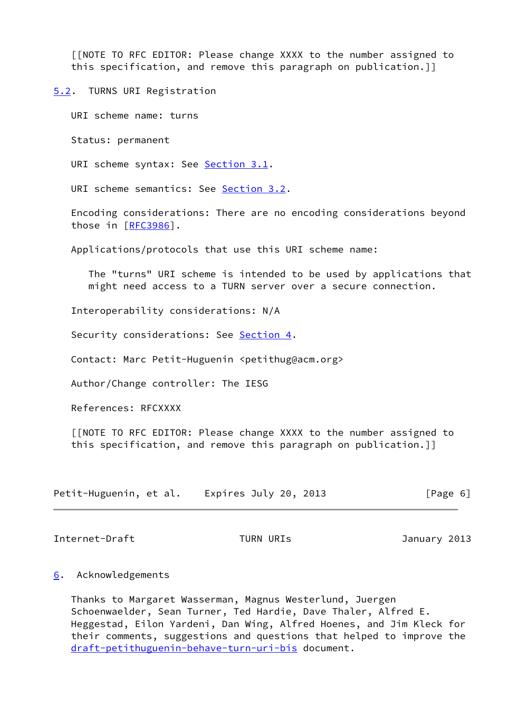[[NOTE TO RFC EDITOR: Please change XXXX to the number assigned to this specification, and remove this paragraph on publication.]]

<span id="page-6-0"></span>[5.2](#page-6-0). TURNS URI Registration

URI scheme name: turns

Status: permanent

URI scheme syntax: See [Section 3.1](#page-3-3).

URI scheme semantics: See [Section 3.2](#page-4-0).

 Encoding considerations: There are no encoding considerations beyond those in [\[RFC3986](https://datatracker.ietf.org/doc/pdf/rfc3986)].

Applications/protocols that use this URI scheme name:

 The "turns" URI scheme is intended to be used by applications that might need access to a TURN server over a secure connection.

Interoperability considerations: N/A

Security considerations: See [Section 4](#page-4-2).

Contact: Marc Petit-Huguenin <petithug@acm.org>

Author/Change controller: The IESG

References: RFCXXXX

 [[NOTE TO RFC EDITOR: Please change XXXX to the number assigned to this specification, and remove this paragraph on publication.]]

| Petit-Huguenin, et al. | Expires July 20, 2013 | [Page 6] |
|------------------------|-----------------------|----------|
|------------------------|-----------------------|----------|

<span id="page-6-2"></span>Internet-Draft TURN URIs 7013

## <span id="page-6-1"></span>[6](#page-6-1). Acknowledgements

 Thanks to Margaret Wasserman, Magnus Westerlund, Juergen Schoenwaelder, Sean Turner, Ted Hardie, Dave Thaler, Alfred E. Heggestad, Eilon Yardeni, Dan Wing, Alfred Hoenes, and Jim Kleck for their comments, suggestions and questions that helped to improve the [draft-petithuguenin-behave-turn-uri-bis](https://datatracker.ietf.org/doc/pdf/draft-petithuguenin-behave-turn-uri-bis) document.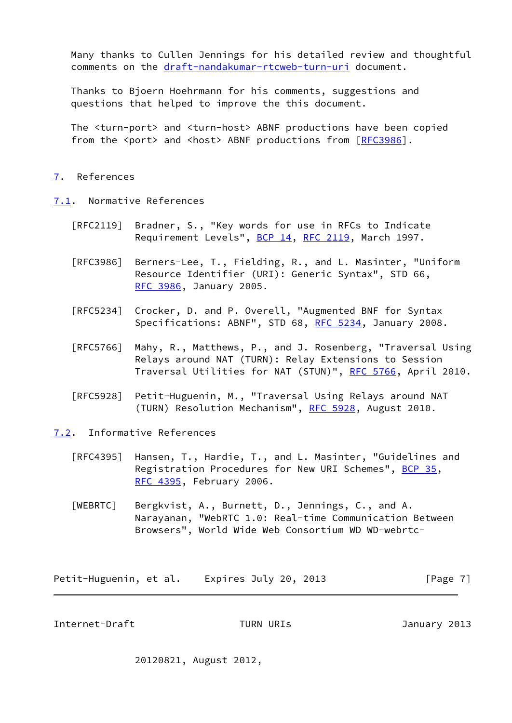Many thanks to Cullen Jennings for his detailed review and thoughtful comments on the [draft-nandakumar-rtcweb-turn-uri](https://datatracker.ietf.org/doc/pdf/draft-nandakumar-rtcweb-turn-uri) document.

 Thanks to Bjoern Hoehrmann for his comments, suggestions and questions that helped to improve the this document.

 The <turn-port> and <turn-host> ABNF productions have been copied from the <port> and <host> ABNF productions from [\[RFC3986](https://datatracker.ietf.org/doc/pdf/rfc3986)].

# <span id="page-7-0"></span>[7](#page-7-0). References

<span id="page-7-1"></span>[7.1](#page-7-1). Normative References

- [RFC2119] Bradner, S., "Key words for use in RFCs to Indicate Requirement Levels", [BCP 14](https://datatracker.ietf.org/doc/pdf/bcp14), [RFC 2119](https://datatracker.ietf.org/doc/pdf/rfc2119), March 1997.
- [RFC3986] Berners-Lee, T., Fielding, R., and L. Masinter, "Uniform Resource Identifier (URI): Generic Syntax", STD 66, [RFC 3986,](https://datatracker.ietf.org/doc/pdf/rfc3986) January 2005.
- [RFC5234] Crocker, D. and P. Overell, "Augmented BNF for Syntax Specifications: ABNF", STD 68, [RFC 5234](https://datatracker.ietf.org/doc/pdf/rfc5234), January 2008.
- [RFC5766] Mahy, R., Matthews, P., and J. Rosenberg, "Traversal Using Relays around NAT (TURN): Relay Extensions to Session Traversal Utilities for NAT (STUN)", [RFC 5766](https://datatracker.ietf.org/doc/pdf/rfc5766), April 2010.
- [RFC5928] Petit-Huguenin, M., "Traversal Using Relays around NAT (TURN) Resolution Mechanism", [RFC 5928](https://datatracker.ietf.org/doc/pdf/rfc5928), August 2010.
- <span id="page-7-4"></span><span id="page-7-2"></span>[7.2](#page-7-2). Informative References
	- [RFC4395] Hansen, T., Hardie, T., and L. Masinter, "Guidelines and Registration Procedures for New URI Schemes", [BCP 35](https://datatracker.ietf.org/doc/pdf/bcp35), [RFC 4395,](https://datatracker.ietf.org/doc/pdf/rfc4395) February 2006.
	- [WEBRTC] Bergkvist, A., Burnett, D., Jennings, C., and A. Narayanan, "WebRTC 1.0: Real-time Communication Between Browsers", World Wide Web Consortium WD WD-webrtc-

Petit-Huguenin, et al. Expires July 20, 2013 [Page 7]

<span id="page-7-3"></span>Internet-Draft TURN URIs January 2013

20120821, August 2012,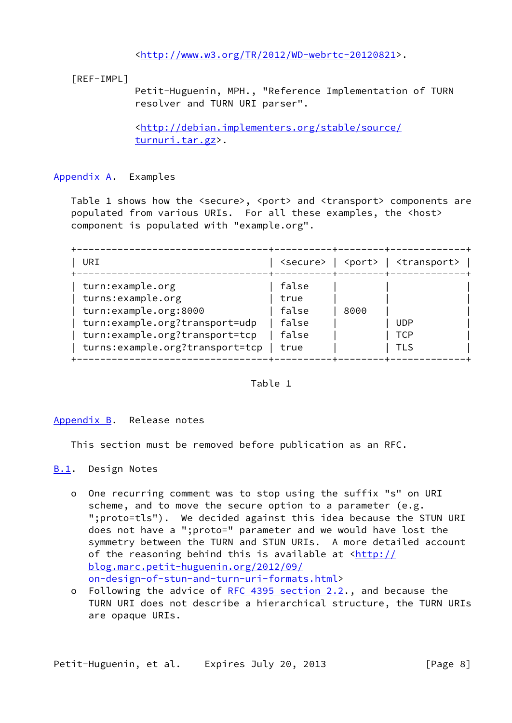<[http://www.w3.org/TR/2012/WD-webrtc-20120821>](http://www.w3.org/TR/2012/WD-webrtc-20120821).

<span id="page-8-3"></span>[REF-IMPL]

 Petit-Huguenin, MPH., "Reference Implementation of TURN resolver and TURN URI parser".

 <[http://debian.implementers.org/stable/source/](http://debian.implementers.org/stable/source/turnuri.tar.gz) [turnuri.tar.gz](http://debian.implementers.org/stable/source/turnuri.tar.gz)>.

# <span id="page-8-0"></span>[Appendix A.](#page-8-0) Examples

Table 1 shows how the <secure>, <port> and <transport> components are populated from various URIs. For all these examples, the <host> component is populated with "example.org".

| URI                             | secure> l | <port></port>   | <transport></transport> |
|---------------------------------|-----------|-----------------|-------------------------|
| turn:example.org                | false     | -+--------+---- |                         |
| turns:example.org               | true      |                 |                         |
| turn:example.org:8000           | false     | 8000            |                         |
| turn:example.org?transport=udp  | false     |                 | <b>UDP</b>              |
| turn:example.org?transport=tcp  | false     |                 | TCP                     |
| turns:example.org?transport=tcp | true      |                 | TI S                    |

Table 1

## <span id="page-8-1"></span>[Appendix B.](#page-8-1) Release notes

This section must be removed before publication as an RFC.

- <span id="page-8-2"></span>[B.1](#page-8-2). Design Notes
	- o One recurring comment was to stop using the suffix "s" on URI scheme, and to move the secure option to a parameter (e.g. ";proto=tls"). We decided against this idea because the STUN URI does not have a ";proto=" parameter and we would have lost the symmetry between the TURN and STUN URIs. A more detailed account of the reasoning behind this is available at  $\frac{\text{http://}}{\text{http://}}$  [blog.marc.petit-huguenin.org/2012/09/](http://blog.marc.petit-huguenin.org/2012/09/on-design-of-stun-and-turn-uri-formats.html) [on-design-of-stun-and-turn-uri-formats.html](http://blog.marc.petit-huguenin.org/2012/09/on-design-of-stun-and-turn-uri-formats.html)>
	- o Following the advice of [RFC 4395 section](https://datatracker.ietf.org/doc/pdf/rfc4395#section-2.2) 2.2., and because the TURN URI does not describe a hierarchical structure, the TURN URIs are opaque URIs.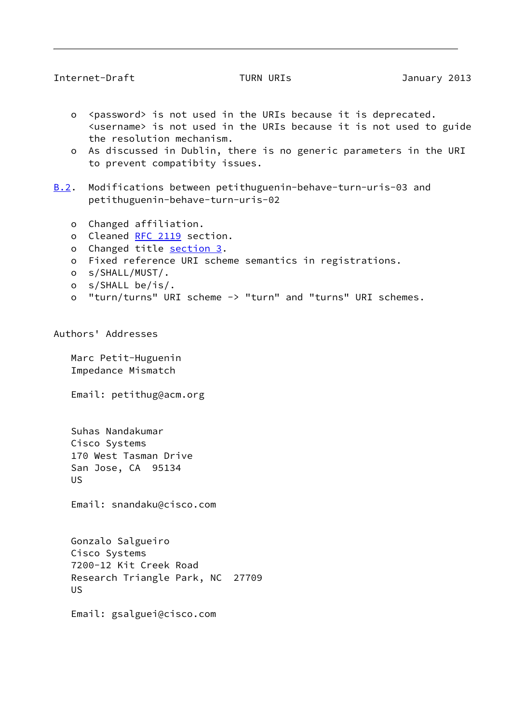## <span id="page-9-0"></span>Internet-Draft TURN URIs 7013

- o <password> is not used in the URIs because it is deprecated. <username> is not used in the URIs because it is not used to guide the resolution mechanism.
- o As discussed in Dublin, there is no generic parameters in the URI to prevent compatibity issues.
- <span id="page-9-1"></span>[B.2](#page-9-1). Modifications between petithuguenin-behave-turn-uris-03 and petithuguenin-behave-turn-uris-02
	- o Changed affiliation.
	- o Cleaned [RFC 2119](https://datatracker.ietf.org/doc/pdf/rfc2119) section.
	- o Changed title [section 3](#page-3-1).
	- o Fixed reference URI scheme semantics in registrations.
	- o s/SHALL/MUST/.
	- o s/SHALL be/is/.
	- o "turn/turns" URI scheme -> "turn" and "turns" URI schemes.

Authors' Addresses

 Marc Petit-Huguenin Impedance Mismatch

Email: petithug@acm.org

 Suhas Nandakumar Cisco Systems 170 West Tasman Drive San Jose, CA 95134 US

Email: snandaku@cisco.com

 Gonzalo Salgueiro Cisco Systems 7200-12 Kit Creek Road Research Triangle Park, NC 27709 US

Email: gsalguei@cisco.com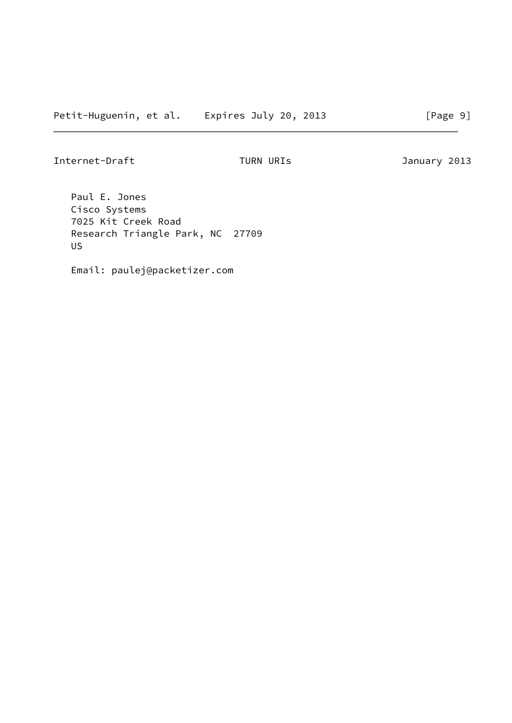Internet-Draft TURN URIs 7013

 Paul E. Jones Cisco Systems 7025 Kit Creek Road Research Triangle Park, NC 27709 US

Email: paulej@packetizer.com